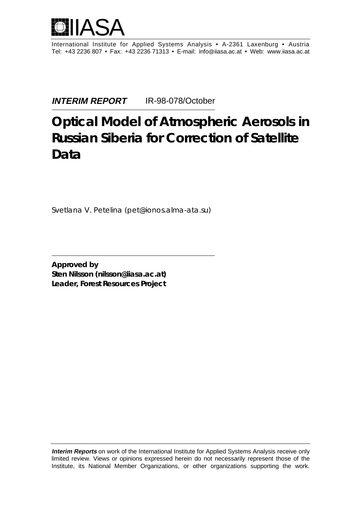

International Institute for Applied Systems Analysis • A-2361 Laxenburg • Austria Tel: +43 2236 807 • Fax: +43 2236 71313 • E-mail: info@iiasa.ac.at • Web: www.iiasa.ac.at

**INTERIM REPORT** IR-98-078/October

# **Optical Model of Atmospheric Aerosols in Russian Siberia for Correction of Satellite Data**

*Svetlana V. Petelina (pet@ionos.alma-ata.su)*

**Approved by Sten Nilsson (nilsson@iiasa.ac.at) Leader,** *Forest Resources Project*

**Interim Reports** on work of the International Institute for Applied Systems Analysis receive only limited review. Views or opinions expressed herein do not necessarily represent those of the Institute, its National Member Organizations, or other organizations supporting the work.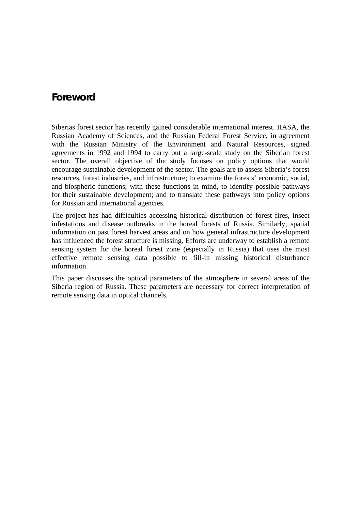## **Foreword**

Siberias forest sector has recently gained considerable international interest. IIASA, the Russian Academy of Sciences, and the Russian Federal Forest Service, in agreement with the Russian Ministry of the Environment and Natural Resources, signed agreements in 1992 and 1994 to carry out a large-scale study on the Siberian forest sector. The overall objective of the study focuses on policy options that would encourage sustainable development of the sector. The goals are to assess Siberia's forest resources, forest industries, and infrastructure; to examine the forests' economic, social, and biospheric functions; with these functions in mind, to identify possible pathways for their sustainable development; and to translate these pathways into policy options for Russian and international agencies.

The project has had difficulties accessing historical distribution of forest fires, insect infestations and disease outbreaks in the boreal forests of Russia. Similarly, spatial information on past forest harvest areas and on how general infrastructure development has influenced the forest structure is missing. Efforts are underway to establish a remote sensing system for the boreal forest zone (especially in Russia) that uses the most effective remote sensing data possible to fill-in missing historical disturbance information.

This paper discusses the optical parameters of the atmosphere in several areas of the Siberia region of Russia. These parameters are necessary for correct interpretation of remote sensing data in optical channels.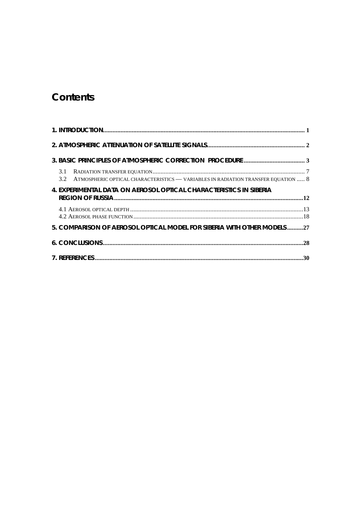# **Contents**

| 3.2 ATMOSPHERIC OPTICAL CHARACTERISTICS - VARIABLES IN RADIATION TRANSFER EQUATION  8 |  |
|---------------------------------------------------------------------------------------|--|
| 4. EXPERIMENTAL DATA ON AEROSOL OPTICAL CHARACTERISTICS IN SIBERIA                    |  |
|                                                                                       |  |
| 5. COMPARISON OF AEROSOL OPTICAL MODEL FOR SIBERIA WITH OTHER MODELS27                |  |
|                                                                                       |  |
|                                                                                       |  |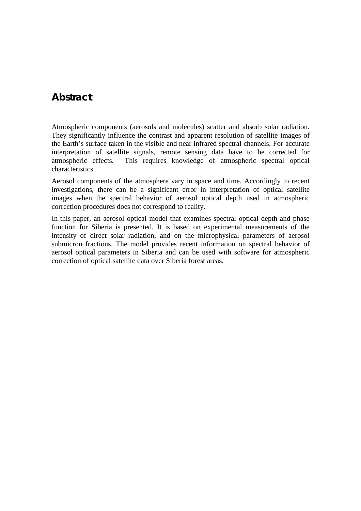## **Abstract**

Atmospheric components (aerosols and molecules) scatter and absorb solar radiation. They significantly influence the contrast and apparent resolution of satellite images of the Earth's surface taken in the visible and near infrared spectral channels. For accurate interpretation of satellite signals, remote sensing data have to be corrected for atmospheric effects. This requires knowledge of atmospheric spectral optical characteristics.

Aerosol components of the atmosphere vary in space and time. Accordingly to recent investigations, there can be a significant error in interpretation of optical satellite images when the spectral behavior of aerosol optical depth used in atmospheric correction procedures does not correspond to reality.

In this paper, an aerosol optical model that examines spectral optical depth and phase function for Siberia is presented. It is based on experimental measurements of the intensity of direct solar radiation, and on the microphysical parameters of aerosol submicron fractions. The model provides recent information on spectral behavior of aerosol optical parameters in Siberia and can be used with software for atmospheric correction of optical satellite data over Siberia forest areas.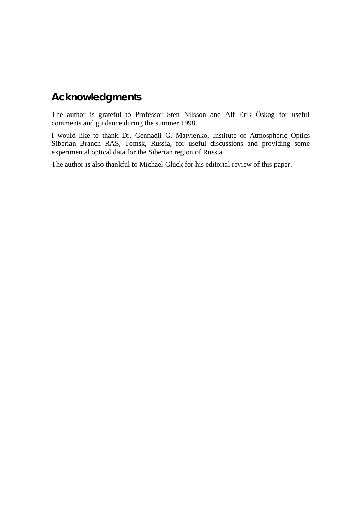# **Acknowledgments**

The author is grateful to Professor Sten Nilsson and Alf Erik Öskog for useful comments and guidance during the summer 1998.

I would like to thank Dr. Gennadii G. Matvienko, Institute of Atmospheric Optics Siberian Branch RAS, Tomsk, Russia, for useful discussions and providing some experimental optical data for the Siberian region of Russia.

The author is also thankful to Michael Gluck for his editorial review of this paper.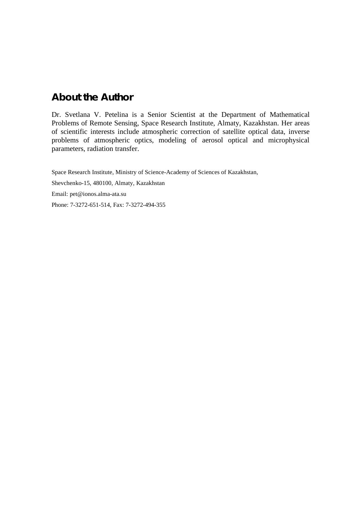## **About the Author**

Dr. Svetlana V. Petelina is a Senior Scientist at the Department of Mathematical Problems of Remote Sensing, Space Research Institute, Almaty, Kazakhstan. Her areas of scientific interests include atmospheric correction of satellite optical data, inverse problems of atmospheric optics, modeling of aerosol optical and microphysical parameters, radiation transfer.

Space Research Institute, Ministry of Science-Academy of Sciences of Kazakhstan, Shevchenko-15, 480100, Almaty, Kazakhstan Email: pet@ionos.alma-ata.su Phone: 7-3272-651-514, Fax: 7-3272-494-355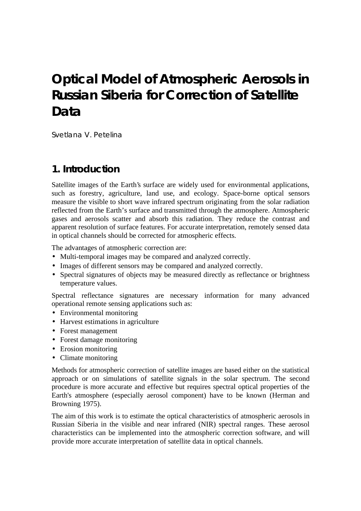# **Optical Model of Atmospheric Aerosols in Russian Siberia for Correction of Satellite Data**

*Svetlana V. Petelina*

# **1. Introduction**

Satellite images of the Earth's surface are widely used for environmental applications, such as forestry, agriculture, land use, and ecology. Space-borne optical sensors measure the visible to short wave infrared spectrum originating from the solar radiation reflected from the Earth's surface and transmitted through the atmosphere. Atmospheric gases and aerosols scatter and absorb this radiation. They reduce the contrast and apparent resolution of surface features. For accurate interpretation, remotely sensed data in optical channels should be corrected for atmospheric effects.

The advantages of atmospheric correction are:

- Multi-temporal images may be compared and analyzed correctly.
- Images of different sensors may be compared and analyzed correctly.
- Spectral signatures of objects may be measured directly as reflectance or brightness temperature values.

Spectral reflectance signatures are necessary information for many advanced operational remote sensing applications such as:

- Environmental monitoring
- Harvest estimations in agriculture
- Forest management
- Forest damage monitoring
- Erosion monitoring
- Climate monitoring

Methods for atmospheric correction of satellite images are based either on the statistical approach or on simulations of satellite signals in the solar spectrum. The second procedure is more accurate and effective but requires spectral optical properties of the Earth's atmosphere (especially aerosol component) have to be known (Herman and Browning 1975).

The aim of this work is to estimate the optical characteristics of atmospheric aerosols in Russian Siberia in the visible and near infrared (NIR) spectral ranges. These aerosol characteristics can be implemented into the atmospheric correction software, and will provide more accurate interpretation of satellite data in optical channels.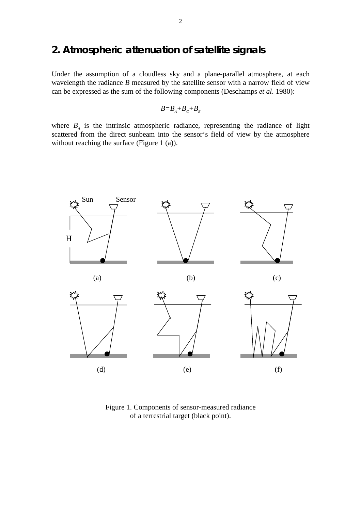## **2. Atmospheric attenuation of satellite signals**

Under the assumption of a cloudless sky and a plane-parallel atmosphere, at each wavelength the radiance *B* measured by the satellite sensor with a narrow field of view can be expressed as the sum of the following components (Deschamps *et al*. 1980):

$$
B = B_{A} + B_{C} + B_{E}
$$

where  $B_A$  is the intrinsic atmospheric radiance, representing the radiance of light scattered from the direct sunbeam into the sensor's field of view by the atmosphere without reaching the surface (Figure 1 (a)).



Figure 1. Components of sensor-measured radiance of a terrestrial target (black point).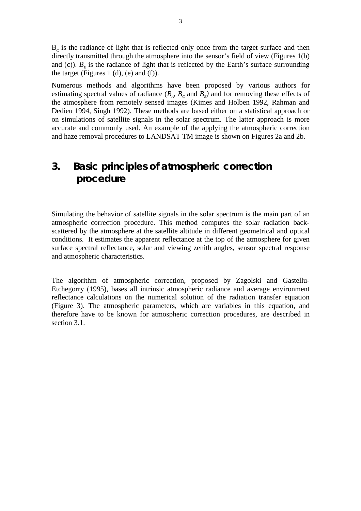$B_c$  is the radiance of light that is reflected only once from the target surface and then directly transmitted through the atmosphere into the sensor's field of view (Figures 1(b) and (c)).  $B<sub>F</sub>$  is the radiance of light that is reflected by the Earth's surface surrounding the target (Figures 1 (d), (e) and (f)).

Numerous methods and algorithms have been proposed by various authors for estimating spectral values of radiance  $(B_A, B_C, A_B)$  and for removing these effects of the atmosphere from remotely sensed images (Kimes and Holben 1992, Rahman and Dedieu 1994, Singh 1992). These methods are based either on a statistical approach or on simulations of satellite signals in the solar spectrum. The latter approach is more accurate and commonly used. An example of the applying the atmospheric correction and haze removal procedures to LANDSAT TM image is shown on Figures 2a and 2b.

# **3. Basic principles of atmospheric correction procedure**

Simulating the behavior of satellite signals in the solar spectrum is the main part of an atmospheric correction procedure. This method computes the solar radiation backscattered by the atmosphere at the satellite altitude in different geometrical and optical conditions. It estimates the apparent reflectance at the top of the atmosphere for given surface spectral reflectance, solar and viewing zenith angles, sensor spectral response and atmospheric characteristics.

The algorithm of atmospheric correction, proposed by Zagolski and Gastellu-Etchegorry (1995), bases all intrinsic atmospheric radiance and average environment reflectance calculations on the numerical solution of the radiation transfer equation (Figure 3). The atmospheric parameters, which are variables in this equation, and therefore have to be known for atmospheric correction procedures, are described in section 3.1.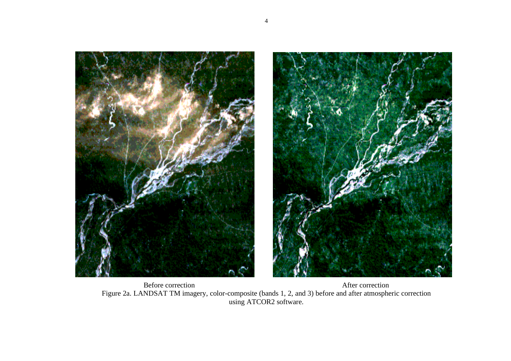



Before correction After correction Figure 2a. LANDSAT TM imagery, color-composite (bands 1, 2, and 3) before and after atmospheric correction using ATCOR2 software.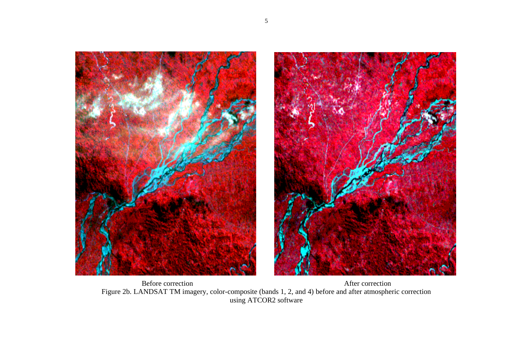



Before correction After correction Figure 2b. LANDSAT TM imagery, color-composite (bands 1, 2, and 4) before and after atmospheric correction using ATCOR2 software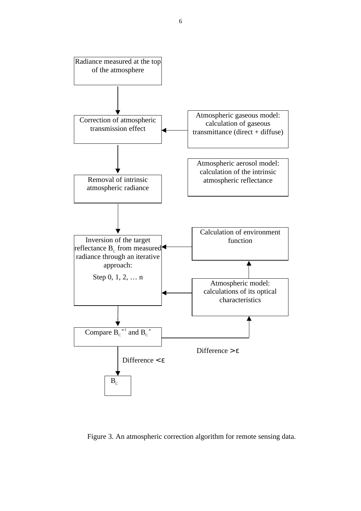

Figure 3. An atmospheric correction algorithm for remote sensing data.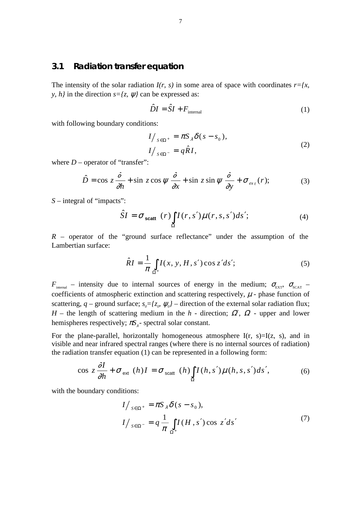#### **3.1 Radiation transfer equation**

The intensity of the solar radiation  $I(r, s)$  in some area of space with coordinates  $r = \{x, y\}$ *y, h}* in the direction  $s = \{z, \psi\}$  can be expressed as:

$$
\hat{D}I = \hat{S}I + F_{\text{internal}} \tag{1}
$$

with following boundary conditions:

$$
\begin{cases}\nI/_{S \in \Omega^+} = \pi S_\lambda \delta(s - s_0), \\
I/_{S \in \Omega^-} = q \hat{R} I,\n\end{cases}
$$
\n(2)

where  $D$  – operator of "transfer":

$$
\hat{D} = \cos z \frac{\partial}{\partial h} + \sin z \cos \psi \frac{\partial}{\partial x} + \sin z \sin \psi \frac{\partial}{\partial y} + \sigma_{\text{ext}}(r); \tag{3}
$$

*S* – integral of "impacts":

$$
\hat{S}I = \sigma_{\text{scatt}}(r) \int_{\Omega} I(r, s') \mu(r, s, s') ds'; \tag{4}
$$

 $R$  – operator of the "ground surface reflectance" under the assumption of the Lambertian surface:

$$
\hat{R}I = \frac{1}{\pi} \int_{\Omega^+} I(x, y, H, s') \cos z' ds';\tag{5}
$$

 $F_{\text{internal}}$  – intensity due to internal sources of energy in the medium;  $\sigma_{\text{EXT}}$ ,  $\sigma_{\text{SCAT}}$  – coefficients of atmospheric extinction and scattering respectively,  $\mu$  - phase function of scattering,  $q$  – ground surface;  $s_o = \{z_o, \psi_o\}$  – direction of the external solar radiation flux; *H* – the length of scattering medium in the *h* - direction;  $\Omega^{\dagger}$ ,  $\Omega$  - upper and lower hemispheres respectively;  $\pi S_1$ - spectral solar constant.

For the plane-parallel, horizontally homogeneous atmosphere  $I(r, s)=I(z, s)$ , and in visible and near infrared spectral ranges (where there is no internal sources of radiation) the radiation transfer equation (1) can be represented in a following form:

$$
\cos z \frac{\partial I}{\partial h} + \sigma_{\text{ext}}(h)I = \sigma_{\text{scatt}}(h) \int_{\Omega} I(h, s') \mu(h, s, s') ds', \tag{6}
$$

with the boundary conditions:

$$
\begin{cases}\nI/_{S \in \Omega^+} = \pi S_{\lambda} \delta(s - s_0), \\
I/_{S \in \Omega^-} = q \frac{1}{\pi} \int_{\Omega^+} I(H, s') \cos z' ds'\n\end{cases} (7)
$$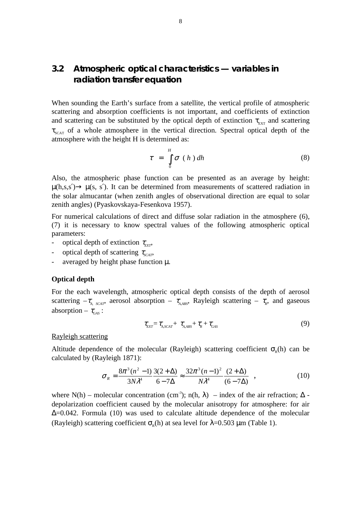### **3.2 Atmospheric optical characteristics — variables in radiation transfer equation**

When sounding the Earth's surface from a satellite, the vertical profile of atmospheric scattering and absorption coefficients is not important, and coefficients of extinction and scattering can be substituted by the optical depth of extinction  $\tau_{\text{exr}}$  and scattering  $\tau_{\text{SCAT}}$  of a whole atmosphere in the vertical direction. Spectral optical depth of the atmosphere with the height H is determined as:

$$
\tau = \int_{0}^{H} \sigma (h) dh
$$
 (8)

Also, the atmospheric phase function can be presented as an average by height:  $\mu(h,s,s') \rightarrow \mu(s,s')$ . It can be determined from measurements of scattered radiation in the solar almucantar (when zenith angles of observational direction are equal to solar zenith angles) (Pyaskovskaya-Fesenkova 1957).

For numerical calculations of direct and diffuse solar radiation in the atmosphere (6), (7) it is necessary to know spectral values of the following atmospheric optical parameters:

- optical depth of extinction  $\tau_{\text{avr}}$ ,
- optical depth of scattering  $\tau_{\text{scat}}$
- averaged by height phase function  $\mu$ .

#### **Optical depth**

For the each wavelength, atmospheric optical depth consists of the depth of aerosol scattering  $-\tau_{A, SCAT}$ , aerosol absorption –  $\tau_{A, ABS}$ , Rayleigh scattering –  $\tau_{R}$ , and gaseous absorption –  $\tau_{\text{gas}}$ :

$$
\tau_{\text{EXT}} = \tau_{A, \text{SCAT}} + \tau_{A, \text{ABS}} + \tau_{R} + \tau_{\text{GAS}} \tag{9}
$$

#### Rayleigh scattering

Altitude dependence of the molecular (Rayleigh) scattering coefficient  $\sigma_{n}(\mathbf{h})$  can be calculated by (Rayleigh 1871):

$$
\sigma_R = \frac{8\pi^3 (n^2 - 1)}{3N\lambda^4} \frac{3(2 + \Delta)}{6 - 7\Delta} \approx \frac{32\pi^3 (n - 1)^2}{N\lambda^4} \frac{(2 + \Delta)}{(6 - 7\Delta)} \quad , \tag{10}
$$

where N(h) – molecular concentration (cm<sup>-3</sup>); n(h,  $\lambda$ ) – index of the air refraction;  $\Delta$ depolarization coefficient caused by the molecular anisotropy for atmosphere: for air ∆=0.042. Formula (10) was used to calculate altitude dependence of the molecular (Rayleigh) scattering coefficient  $\sigma_{p}(h)$  at sea level for  $\lambda$ =0.503 µm (Table 1).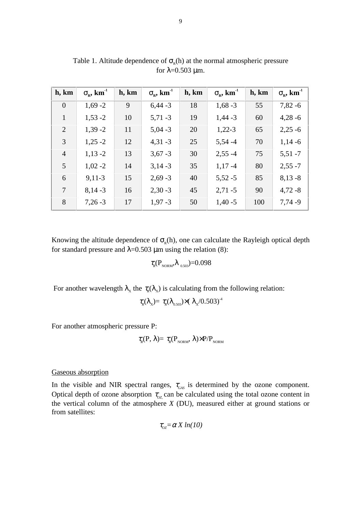| h, km          | $\sigma_{\rm R}$ , km <sup>-1</sup> | h, km | $\sigma_{\rm R}$ , km <sup>-1</sup> | h, km | $\sigma_{\rm R}$ , km <sup>-1</sup> | h, km | $\sigma_{\rm R}$ , km <sup>-1</sup> |
|----------------|-------------------------------------|-------|-------------------------------------|-------|-------------------------------------|-------|-------------------------------------|
| $\overline{0}$ | $1,69 - 2$                          | 9     | $6,44 - 3$                          | 18    | $1,68 - 3$                          | 55    | $7,82 - 6$                          |
| $\mathbf{1}$   | $1,53 - 2$                          | 10    | $5,71 - 3$                          | 19    | $1,44 - 3$                          | 60    | $4,28 - 6$                          |
| 2              | $1,39 - 2$                          | 11    | $5,04 - 3$                          | 20    | $1,22-3$                            | 65    | $2,25 - 6$                          |
| 3              | $1,25 - 2$                          | 12    | $4,31 - 3$                          | 25    | $5,54 -4$                           | 70    | $1,14-6$                            |
| $\overline{4}$ | $1,13 - 2$                          | 13    | $3,67 - 3$                          | 30    | $2,55 - 4$                          | 75    | $5,51 - 7$                          |
| 5              | $1,02 - 2$                          | 14    | $3,14-3$                            | 35    | $1,17-4$                            | 80    | $2,55 - 7$                          |
| 6              | $9,11-3$                            | 15    | $2,69 - 3$                          | 40    | $5,52 - 5$                          | 85    | $8,13-8$                            |
| $\overline{7}$ | $8,14-3$                            | 16    | $2,30 - 3$                          | 45    | $2,71 - 5$                          | 90    | $4,72-8$                            |
| 8              | $7,26-3$                            | 17    | $1,97 - 3$                          | 50    | $1,40-5$                            | 100   | $7,74-9$                            |

Table 1. Altitude dependence of  $\sigma_{R}(h)$  at the normal atmospheric pressure for  $\lambda$ =0.503 µm.

Knowing the altitude dependence of  $\sigma_{R}(h)$ , one can calculate the Rayleigh optical depth for standard pressure and  $\lambda$ =0.503 µm using the relation (8):

 $\tau_{R}(\text{P}_{\text{NORM}},\lambda_{0.503})$  = 0.098

For another wavelength  $\lambda_x$  the  $\tau_R(\lambda_x)$  is calculating from the following relation:

 $\tau_{R}(\lambda_{\rm x})=\tau_{R}(\lambda_{0.503})\times(\lambda_{\rm x}/0.503)^{-4}$ 

For another atmospheric pressure P:

$$
\tau_{R}(P, \lambda) = \tau_{R}(P_{NORM}, \lambda) \times P/P_{NORM}
$$

#### Gaseous absorption

In the visible and NIR spectral ranges,  $\tau_{\text{GAS}}$  is determined by the ozone component. Optical depth of ozone absorption  $\tau_{oz}$  can be calculated using the total ozone content in the vertical column of the atmosphere *X* (DU), measured either at ground stations or from satellites:

$$
\tau_{oz} = \alpha X \ln(10)
$$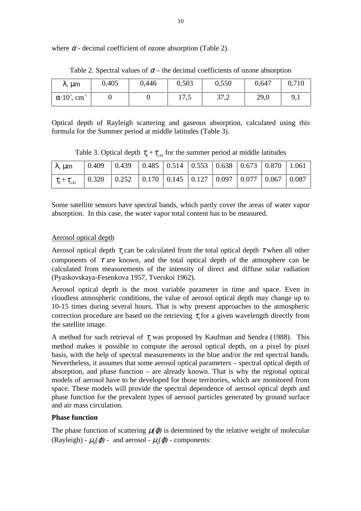where  $\alpha$  - decimal coefficient of ozone absorption (Table 2).

| $\lambda$ , $\mu$ m                         | 0,405 | 0,446 | 0,503                   | 0,550 | 0,647 | 0,710       |
|---------------------------------------------|-------|-------|-------------------------|-------|-------|-------------|
| $\alpha$ 10 <sup>3</sup> , cm <sup>-1</sup> |       |       | 17 <sub>5</sub><br>11.5 | 37,2  | 29,0  | $\mathbf Q$ |

Table 2. Spectral values of  $\alpha$  – the decimal coefficients of ozone absorption

Optical depth of Rayleigh scattering and gaseous absorption, calculated using this formula for the Summer period at middle latitudes (Table 3).

Table 3. Optical depth  $\tau_{R} + \tau_{\text{gas}}$  for the summer period at middle latitudes

| $\lambda$ , $\mu$ m             | $\vert 0.409 \vert 0.439 \vert 0.485 \vert 0.514 \vert 0.553 \vert 0.638 \vert 0.673 \vert 0.870 \vert 1.061$ |  |  |  |  |
|---------------------------------|---------------------------------------------------------------------------------------------------------------|--|--|--|--|
| $\tau_{\rm R} + \tau_{\rm GAS}$ | $\vert 0.320 \vert 0.252 \vert 0.170 \vert 0.145 \vert 0.127 \vert 0.097 \vert 0.077 \vert 0.067 \vert 0.087$ |  |  |  |  |

Some satellite sensors have spectral bands, which partly cover the areas of water vapor absorption. In this case, the water vapor total content has to be measured.

#### Aerosol optical depth

Aerosol optical depth  $\tau_{\mu}$  can be calculated from the total optical depth  $\tau$  when all other components of  $\tau$  are known, and the total optical depth of the atmosphere can be calculated from measurements of the intensity of direct and diffuse solar radiation (Pyaskovskaya-Fesenkova 1957, Tverskoi 1962).

Aerosol optical depth is the most variable parameter in time and space. Even in cloudless atmospheric conditions, the value of aerosol optical depth may change up to 10-15 times during several hours. That is why present approaches to the atmospheric correction procedure are based on the retrieving  $\tau_{\alpha}$  for a given wavelength directly from the satellite image.

A method for such retrieval of  $\tau$  was proposed by Kaufman and Sendra (1988). This method makes it possible to compute the aerosol optical depth, on a pixel by pixel basis, with the help of spectral measurements in the blue and/or the red spectral bands. Nevertheless, it assumes that some aerosol optical parameters – spectral optical depth of absorption, and phase function – are already known. That is why the regional optical models of aerosol have to be developed for those territories, which are monitored from space. These models will provide the spectral dependence of aerosol optical depth and phase function for the prevalent types of aerosol particles generated by ground surface and air mass circulation.

#### **Phase function**

The phase function of scattering  $\mu(\varphi)$  is determined by the relative weight of molecular (Rayleigh) -  $\mu_{R}(\varphi)$  - and aerosol -  $\mu_{a}(\varphi)$  - components: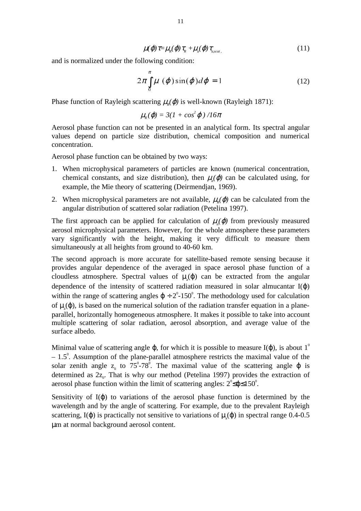$$
\mu(\varphi)\tau = \mu_{R}(\varphi)\tau_{R} + \mu_{a}(\varphi)\tau_{a,scat.}
$$
\n(11)

and is normalized under the following condition:

$$
2\pi \int_{0}^{\pi} \mu\,(\varphi)\sin(\varphi)d\varphi = 1\tag{12}
$$

Phase function of Rayleigh scattering  $\mu_{\nu}(\varphi)$  is well-known (Rayleigh 1871):

$$
\mu_{R}(\varphi) = 3(1 + \cos^2 \varphi)/16\pi
$$

Aerosol phase function can not be presented in an analytical form. Its spectral angular values depend on particle size distribution, chemical composition and numerical concentration.

Aerosol phase function can be obtained by two ways:

- 1. When microphysical parameters of particles are known (numerical concentration, chemical constants, and size distribution), then  $\mu_a(\varphi)$  can be calculated using, for example, the Mie theory of scattering (Deirmendjan, 1969).
- 2. When microphysical parameters are not available,  $\mu_n(\varphi)$  can be calculated from the angular distribution of scattered solar radiation (Petelina 1997).

The first approach can be applied for calculation of  $\mu_a(\varphi)$  from previously measured aerosol microphysical parameters. However, for the whole atmosphere these parameters vary significantly with the height, making it very difficult to measure them simultaneously at all heights from ground to 40-60 km.

The second approach is more accurate for satellite-based remote sensing because it provides angular dependence of the averaged in space aerosol phase function of a cloudless atmosphere. Spectral values of  $\mu$ <sub>a</sub> $(\varphi)$  can be extracted from the angular dependence of the intensity of scattered radiation measured in solar almucantar  $I(\varphi)$ within the range of scattering angles  $\varphi \div 2^0$ -150<sup>°</sup>. The methodology used for calculation of  $\mu$ <sub>a</sub>( $\varphi$ ), is based on the numerical solution of the radiation transfer equation in a planeparallel, horizontally homogeneous atmosphere. It makes it possible to take into account multiple scattering of solar radiation, aerosol absorption, and average value of the surface albedo.

Minimal value of scattering angle  $\varphi$ , for which it is possible to measure I( $\varphi$ ), is about 1<sup>0</sup>  $-1.5^{\circ}$ . Assumption of the plane-parallel atmosphere restricts the maximal value of the solar zenith angle  $z_0$  to 75°-78°. The maximal value of the scattering angle  $\varphi$  is determined as  $2z_0$ . That is why our method (Petelina 1997) provides the extraction of aerosol phase function within the limit of scattering angles:  $2^{\circ} \le \phi \le 150^{\circ}$ .

Sensitivity of  $I(\varphi)$  to variations of the aerosol phase function is determined by the wavelength and by the angle of scattering. For example, due to the prevalent Rayleigh scattering, I( $\varphi$ ) is practically not sensitive to variations of  $\mu$ <sub>a</sub>( $\varphi$ ) in spectral range 0.4-0.5 µm at normal background aerosol content.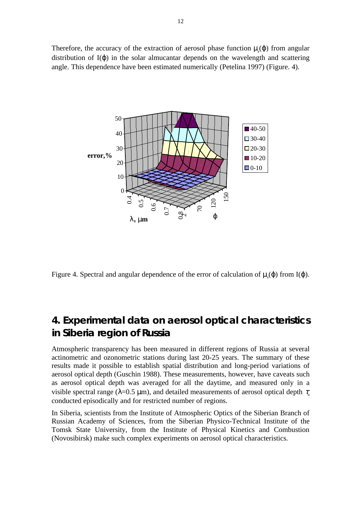Therefore, the accuracy of the extraction of aerosol phase function  $\mu_a(\varphi)$  from angular distribution of  $I(\phi)$  in the solar almucantar depends on the wavelength and scattering angle. This dependence have been estimated numerically (Petelina 1997) (Figure. 4).



Figure 4. Spectral and angular dependence of the error of calculation of  $\mu_a(\varphi)$  from I( $\varphi$ ).

## **4. Experimental data on aerosol optical characteristics in Siberia region of Russia**

Atmospheric transparency has been measured in different regions of Russia at several actinometric and ozonometric stations during last 20-25 years. The summary of these results made it possible to establish spatial distribution and long-period variations of aerosol optical depth (Guschin 1988). These measurements, however, have caveats such as aerosol optical depth was averaged for all the daytime, and measured only in a visible spectral range ( $\lambda$ =0.5  $\mu$ m), and detailed measurements of aerosol optical depth  $\tau$ conducted episodically and for restricted number of regions. Figure 4. Spectral and angular dependence of the error of calculation of  $\mu_s(\varphi)$  from  $\lambda$ ,  $\mu$ m<br> **4. Experimental data on aerosol optical character**<br> **in Siberia region of Russia**<br>
Atmospheric transparency has been

In Siberia, scientists from the Institute of Atmospheric Optics of the Siberian Branch of Russian Academy of Sciences, from the Siberian Physico-Technical Institute of the Tomsk State University, from the Institute of Physical Kinetics and Combustion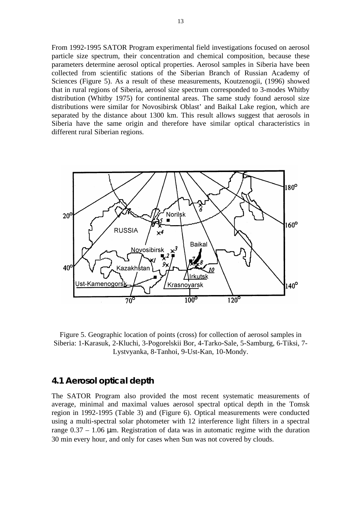From 1992-1995 SATOR Program experimental field investigations focused on aerosol particle size spectrum, their concentration and chemical composition, because these parameters determine aerosol optical properties. Aerosol samples in Siberia have been collected from scientific stations of the Siberian Branch of Russian Academy of Sciences (Figure 5). As a result of these measurements, Koutzenogii, (1996) showed that in rural regions of Siberia, aerosol size spectrum corresponded to 3-modes Whitby distribution (Whitby 1975) for continental areas. The same study found aerosol size distributions were similar for Novosibirsk Oblast' and Baikal Lake region, which are separated by the distance about 1300 km. This result allows suggest that aerosols in Siberia have the same origin and therefore have similar optical characteristics in different rural Siberian regions.



Figure 5. Geographic location of points (cross) for collection of aerosol samples in Siberia: 1-Karasuk, 2-Kluchi, 3-Pogorelskii Bor, 4-Tarko-Sale, 5-Samburg, 6-Tiksi, 7- Lystvyanka, 8-Tanhoi, 9-Ust-Kan, 10-Mondy.

#### **4.1 Aerosol optical depth**

The SATOR Program also provided the most recent systematic measurements of average, minimal and maximal values aerosol spectral optical depth in the Tomsk region in 1992-1995 (Table 3) and (Figure 6). Optical measurements were conducted using a multi-spectral solar photometer with 12 interference light filters in a spectral range  $0.37 - 1.06$  µm. Registration of data was in automatic regime with the duration 30 min every hour, and only for cases when Sun was not covered by clouds.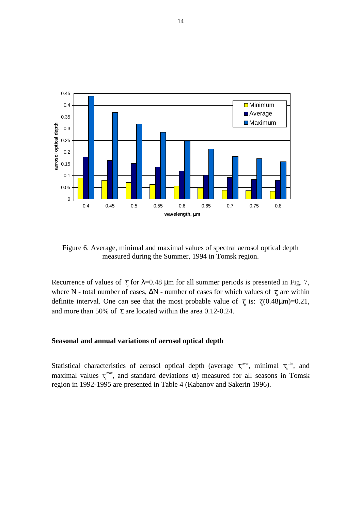

Figure 6. Average, minimal and maximal values of spectral aerosol optical depth measured during the Summer, 1994 in Tomsk region.

Recurrence of values of  $\tau_a$  for  $\lambda$ =0.48  $\mu$ m for all summer periods is presented in Fig. 7, where N - total number of cases,  $\Delta N$  - number of cases for which values of  $\tau_a$  are within definite interval. One can see that the most probable value of  $\tau_a$  is:  $\tau_a(0.48\mu m)=0.21$ , and more than 50% of  $\tau_a$  are located within the area 0.12-0.24.

#### **Seasonal and annual variations of aerosol optical depth**

Statistical characteristics of aerosol optical depth (average  $\tau_a^{\text{aver}}$ , minimal  $\tau_a^{\text{min}}$ , and maximal values  $\tau_{a}^{\text{max}}$ , and standard deviations  $\alpha$ ) measured for all seasons in Tomsk region in 1992-1995 are presented in Table 4 (Kabanov and Sakerin 1996).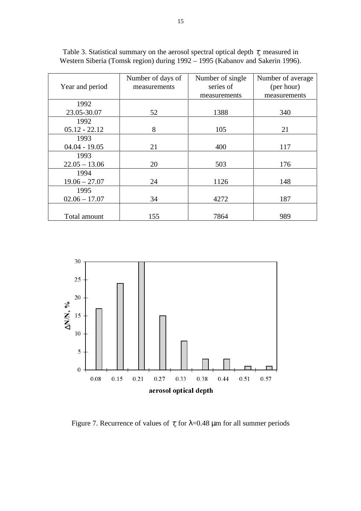|                 | Number of days of | Number of single | Number of average |
|-----------------|-------------------|------------------|-------------------|
| Year and period | measurements      | series of        | (per hour)        |
|                 |                   | measurements     | measurements      |
| 1992            |                   |                  |                   |
| 23.05-30.07     | 52                | 1388             | 340               |
| 1992            |                   |                  |                   |
| $05.12 - 22.12$ | 8                 | 105              | 21                |
| 1993            |                   |                  |                   |
| $04.04 - 19.05$ | 21                | 400              | 117               |
| 1993            |                   |                  |                   |
| $22.05 - 13.06$ | 20                | 503              | 176               |
| 1994            |                   |                  |                   |
| $19.06 - 27.07$ | 24                | 1126             | 148               |
| 1995            |                   |                  |                   |
| $02.06 - 17.07$ | 34                | 4272             | 187               |
|                 |                   |                  |                   |
| Total amount    | 155               | 7864             | 989               |

Table 3. Statistical summary on the aerosol spectral optical depth  $\tau_a$  measured in Western Siberia (Tomsk region) during 1992 – 1995 (Kabanov and Sakerin 1996).



Figure 7. Recurrence of values of  $\tau_a$  for  $\lambda$ =0.48  $\mu$ m for all summer periods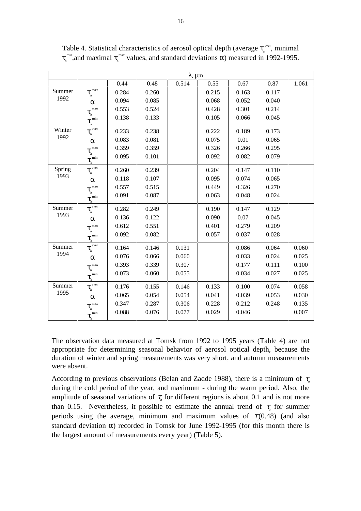|        |                                                                     |       |       | $\lambda$ , $\mu$ m |       |       |       |       |
|--------|---------------------------------------------------------------------|-------|-------|---------------------|-------|-------|-------|-------|
|        |                                                                     | 0.44  | 0.48  | 0.514               | 0.55  | 0.67  | 0.87  | 1.061 |
| Summer | $\overline{\tau_{_{a}}^{\text{ aver}}}$                             | 0.284 | 0.260 |                     | 0.215 | 0.163 | 0.117 |       |
| 1992   | $\alpha$                                                            | 0.094 | 0.085 |                     | 0.068 | 0.052 | 0.040 |       |
|        | $\tau_{_a}^{^\mathrm{max}}$                                         | 0.553 | 0.524 |                     | 0.428 | 0.301 | 0.214 |       |
|        | $\tau_{\underline{a}}^{\phantom{a} \phantom{a} \dot{\phantom{a}} }$ | 0.138 | 0.133 |                     | 0.105 | 0.066 | 0.045 |       |
| Winter | $\frac{4}{\tau_a^{\text{aver}}}$                                    | 0.233 | 0.238 |                     | 0.222 | 0.189 | 0.173 |       |
| 1992   | $\alpha$                                                            | 0.083 | 0.081 |                     | 0.075 | 0.01  | 0.065 |       |
|        | $\tau_{\rm a}^{\rm max}$                                            | 0.359 | 0.359 |                     | 0.326 | 0.266 | 0.295 |       |
|        | $\tau_{\underline{a}}^{min}$                                        | 0.095 | 0.101 |                     | 0.092 | 0.082 | 0.079 |       |
| Spring | $\tau_{\rm a}^{\rm aver}$                                           | 0.260 | 0.239 |                     | 0.204 | 0.147 | 0.110 |       |
| 1993   | $\alpha$                                                            | 0.118 | 0.107 |                     | 0.095 | 0.074 | 0.065 |       |
|        | $\tau_{_a}^{~\rm max}$                                              | 0.557 | 0.515 |                     | 0.449 | 0.326 | 0.270 |       |
|        | $\tau_{_a}^{^{min}}$                                                | 0.091 | 0.087 |                     | 0.063 | 0.048 | 0.024 |       |
| Summer | $\tau_{\rm a}^{\frac{4}{\rm aver}}$                                 | 0.282 | 0.249 |                     | 0.190 | 0.147 | 0.129 |       |
| 1993   | $\alpha$                                                            | 0.136 | 0.122 |                     | 0.090 | 0.07  | 0.045 |       |
|        | $\tau_{_a}^{~\rm max}$                                              | 0.612 | 0.551 |                     | 0.401 | 0.279 | 0.209 |       |
|        | $\tau_{\scriptscriptstyle\rm a}^{\scriptscriptstyle\,\rm min}$      | 0.092 | 0.082 |                     | 0.057 | 0.037 | 0.028 |       |
| Summer | $\tau_{_a}^{\frac{a}{\text{aver}}}$                                 | 0.164 | 0.146 | 0.131               |       | 0.086 | 0.064 | 0.060 |
| 1994   | $\alpha$                                                            | 0.076 | 0.066 | 0.060               |       | 0.033 | 0.024 | 0.025 |
|        | max<br>$\tau_{\rm_a}$                                               | 0.393 | 0.339 | 0.307               |       | 0.177 | 0.111 | 0.100 |
|        | min<br>$\tau_{\rm a}$                                               | 0.073 | 0.060 | 0.055               |       | 0.034 | 0.027 | 0.025 |
| Summer | $\tau_{_a}^{\frac{4}{\text{aver}}}$                                 | 0.176 | 0.155 | 0.146               | 0.133 | 0.100 | 0.074 | 0.058 |
| 1995   | $\alpha$                                                            | 0.065 | 0.054 | 0.054               | 0.041 | 0.039 | 0.053 | 0.030 |
|        | $\tau_{_a}^{~\max}$                                                 | 0.347 | 0.287 | 0.306               | 0.228 | 0.212 | 0.248 | 0.135 |
|        | $\tau_{_{\rm a}}^{^{\rm min}}$                                      | 0.088 | 0.076 | 0.077               | 0.029 | 0.046 |       | 0.007 |

Table 4. Statistical characteristics of aerosol optical depth (average  $\tau_{a}^{aver}$ , minimal  $\tau_{\rm a}^{\rm min}$ ,and maximal  $\tau_{\rm a}^{\rm max}$  values, and standard deviations  $\alpha$ ) measured in 1992-1995.

The observation data measured at Tomsk from 1992 to 1995 years (Table 4) are not appropriate for determining seasonal behavior of aerosol optical depth, because the duration of winter and spring measurements was very short, and autumn measurements were absent.

According to previous observations (Belan and Zadde 1988), there is a minimum of  $\tau$ during the cold period of the year, and maximum - during the warm period. Also, the amplitude of seasonal variations of  $\tau_a$  for different regions is about 0.1 and is not more than 0.15. Nevertheless, it possible to estimate the annual trend of  $\tau_a$  for summer periods using the average, minimum and maximum values of  $\tau_a(0.48)$  (and also standard deviation  $\alpha$ ) recorded in Tomsk for June 1992-1995 (for this month there is the largest amount of measurements every year) (Table 5).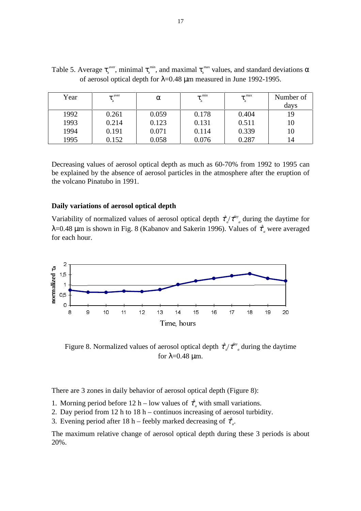| Year | aver  | α     | min<br>$\mathbf{v}_a$ | $\tau_{\rm a}^{\rm \; max}$ | Number of<br>days |
|------|-------|-------|-----------------------|-----------------------------|-------------------|
| 1992 | 0.261 | 0.059 | 0.178                 | 0.404                       | 19                |
| 1993 | 0.214 | 0.123 | 0.131                 | 0.511                       | 10                |
|      |       |       |                       |                             |                   |
| 1994 | 0.191 | 0.071 | 0.114                 | 0.339                       | 10                |
| 1995 | 0.152 | 0.058 | 0.076                 | 0.287                       | 14                |

Table 5. Average  $\tau_a^{\text{aver}}$ , minimal  $\tau_a^{\text{min}}$ , and maximal  $\tau_a^{\text{ max}}$  values, and standard deviations  $\alpha$ of aerosol optical depth for  $\lambda$ =0.48 µm measured in June 1992-1995.

Decreasing values of aerosol optical depth as much as 60-70% from 1992 to 1995 can be explained by the absence of aerosol particles in the atmosphere after the eruption of the volcano Pinatubo in 1991.

#### **Daily variations of aerosol optical depth**

Variability of normalized values of aerosol optical depth  $\tau^h$ *a* /τ *day a* during the daytime for λ=0.48 μm is shown in Fig. 8 (Kabanov and Sakerin 1996). Values of  $\tau^h$ *a* were averaged for each hour.



Figure 8. Normalized values of aerosol optical depth  $\tau^h$ *a* /τ *day a* during the daytime for  $λ=0.48$  μm.

There are 3 zones in daily behavior of aerosol optical depth (Figure 8):

- 1. Morning period before 12 h low values of  $\tau^h$ *a* with small variations.
- 2. Day period from 12 h to 18 h continuos increasing of aerosol turbidity.
- 3. Evening period after 18 h feebly marked decreasing of  $\tau^h$ *a* .

The maximum relative change of aerosol optical depth during these 3 periods is about 20%.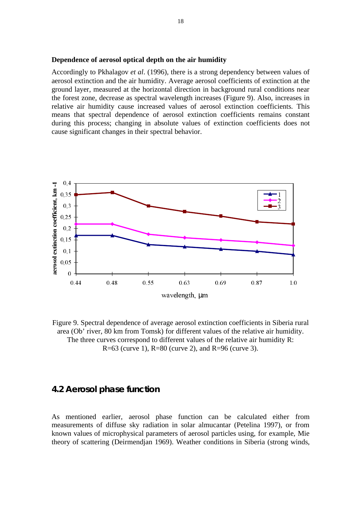#### **Dependence of aerosol optical depth on the air humidity**

Accordingly to Pkhalagov *et al*. (1996), there is a strong dependency between values of aerosol extinction and the air humidity. Average aerosol coefficients of extinction at the ground layer, measured at the horizontal direction in background rural conditions near the forest zone, decrease as spectral wavelength increases (Figure 9). Also, increases in relative air humidity cause increased values of aerosol extinction coefficients. This means that spectral dependence of aerosol extinction coefficients remains constant during this process; changing in absolute values of extinction coefficients does not cause significant changes in their spectral behavior.



Figure 9. Spectral dependence of average aerosol extinction coefficients in Siberia rural area (Ob' river, 80 km from Tomsk) for different values of the relative air humidity. The three curves correspond to different values of the relative air humidity R: R=63 (curve 1), R=80 (curve 2), and R=96 (curve 3).

#### **4.2 Aerosol phase function**

As mentioned earlier, aerosol phase function can be calculated either from measurements of diffuse sky radiation in solar almucantar (Petelina 1997), or from known values of microphysical parameters of aerosol particles using, for example, Mie theory of scattering (Deirmendjan 1969). Weather conditions in Siberia (strong winds,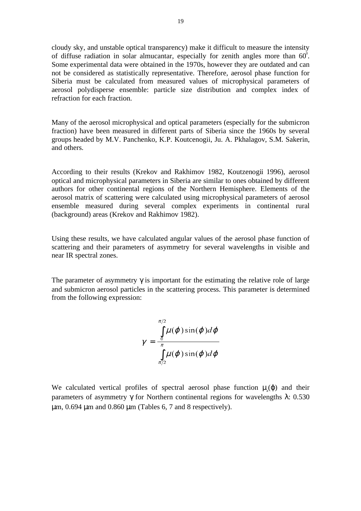cloudy sky, and unstable optical transparency) make it difficult to measure the intensity of diffuse radiation in solar almucantar, especially for zenith angles more than  $60^\circ$ . Some experimental data were obtained in the 1970s, however they are outdated and can not be considered as statistically representative. Therefore, aerosol phase function for Siberia must be calculated from measured values of microphysical parameters of aerosol polydisperse ensemble: particle size distribution and complex index of refraction for each fraction.

Many of the aerosol microphysical and optical parameters (especially for the submicron fraction) have been measured in different parts of Siberia since the 1960s by several groups headed by M.V. Panchenko, K.P. Koutcenogii, Ju. A. Pkhalagov, S.M. Sakerin, and others.

According to their results (Krekov and Rakhimov 1982, Koutzenogii 1996), aerosol optical and microphysical parameters in Siberia are similar to ones obtained by different authors for other continental regions of the Northern Hemisphere. Elements of the aerosol matrix of scattering were calculated using microphysical parameters of aerosol ensemble measured during several complex experiments in continental rural (background) areas (Krekov and Rakhimov 1982).

Using these results, we have calculated angular values of the aerosol phase function of scattering and their parameters of asymmetry for several wavelengths in visible and near IR spectral zones.

The parameter of asymmetry  $\gamma$  is important for the estimating the relative role of large and submicron aerosol particles in the scattering process. This parameter is determined from the following expression:

$$
\gamma = \frac{\int_{0}^{\pi/2} \mu(\varphi) \sin(\varphi) d\varphi}{\int_{\pi/2}^{\pi} \mu(\varphi) \sin(\varphi) d\varphi}
$$

We calculated vertical profiles of spectral aerosol phase function  $\mu$ <sub>a</sub>( $\varphi$ ) and their parameters of asymmetry γ for Northern continental regions for wavelengths  $λ$ : 0.530  $\mu$ m, 0.694  $\mu$ m and 0.860  $\mu$ m (Tables 6, 7 and 8 respectively).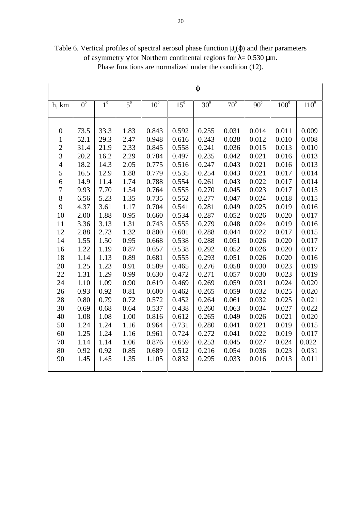|                  |                  |             |                  |                 |              | $\varphi$    |              |            |               |           |
|------------------|------------------|-------------|------------------|-----------------|--------------|--------------|--------------|------------|---------------|-----------|
|                  |                  |             |                  |                 |              |              |              |            |               |           |
| h, km            | $\overline{0^0}$ | $1^{\circ}$ | $\overline{5^0}$ | 10 <sup>0</sup> | $15^{\circ}$ | $30^{\circ}$ | $70^{\circ}$ | $90^\circ$ | $100^{\circ}$ | $110^{0}$ |
|                  |                  |             |                  |                 |              |              |              |            |               |           |
|                  |                  |             |                  |                 |              |              |              |            |               |           |
| $\boldsymbol{0}$ | 73.5             | 33.3        | 1.83             | 0.843           | 0.592        | 0.255        | 0.031        | 0.014      | 0.011         | 0.009     |
| $\mathbf{1}$     | 52.1             | 29.3        | 2.47             | 0.948           | 0.616        | 0.243        | 0.028        | 0.012      | 0.010         | 0.008     |
| $\overline{c}$   | 31.4             | 21.9        | 2.33             | 0.845           | 0.558        | 0.241        | 0.036        | 0.015      | 0.013         | 0.010     |
| $\overline{3}$   | 20.2             | 16.2        | 2.29             | 0.784           | 0.497        | 0.235        | 0.042        | 0.021      | 0.016         | 0.013     |
| $\overline{4}$   | 18.2             | 14.3        | 2.05             | 0.775           | 0.516        | 0.247        | 0.043        | 0.021      | 0.016         | 0.013     |
| 5                | 16.5             | 12.9        | 1.88             | 0.779           | 0.535        | 0.254        | 0.043        | 0.021      | 0.017         | 0.014     |
| 6                | 14.9             | 11.4        | 1.74             | 0.788           | 0.554        | 0.261        | 0.043        | 0.022      | 0.017         | 0.014     |
| $\overline{7}$   | 9.93             | 7.70        | 1.54             | 0.764           | 0.555        | 0.270        | 0.045        | 0.023      | 0.017         | 0.015     |
| 8                | 6.56             | 5.23        | 1.35             | 0.735           | 0.552        | 0.277        | 0.047        | 0.024      | 0.018         | 0.015     |
| 9                | 4.37             | 3.61        | 1.17             | 0.704           | 0.541        | 0.281        | 0.049        | 0.025      | 0.019         | 0.016     |
| 10               | 2.00             | 1.88        | 0.95             | 0.660           | 0.534        | 0.287        | 0.052        | 0.026      | 0.020         | 0.017     |
| 11               | 3.36             | 3.13        | 1.31             | 0.743           | 0.555        | 0.279        | 0.048        | 0.024      | 0.019         | 0.016     |
| 12               | 2.88             | 2.73        | 1.32             | 0.800           | 0.601        | 0.288        | 0.044        | 0.022      | 0.017         | 0.015     |
| 14               | 1.55             | 1.50        | 0.95             | 0.668           | 0.538        | 0.288        | 0.051        | 0.026      | 0.020         | 0.017     |
| 16               | 1.22             | 1.19        | 0.87             | 0.657           | 0.538        | 0.292        | 0.052        | 0.026      | 0.020         | 0.017     |
| 18               | 1.14             | 1.13        | 0.89             | 0.681           | 0.555        | 0.293        | 0.051        | 0.026      | 0.020         | 0.016     |
| 20               | 1.25             | 1.23        | 0.91             | 0.589           | 0.465        | 0.276        | 0.058        | 0.030      | 0.023         | 0.019     |
| 22               | 1.31             | 1.29        | 0.99             | 0.630           | 0.472        | 0.271        | 0.057        | 0.030      | 0.023         | 0.019     |
| 24               | 1.10             | 1.09        | 0.90             | 0.619           | 0.469        | 0.269        | 0.059        | 0.031      | 0.024         | 0.020     |
| 26               | 0.93             | 0.92        | 0.81             | 0.600           | 0.462        | 0.265        | 0.059        | 0.032      | 0.025         | 0.020     |
| 28               | 0.80             | 0.79        | 0.72             | 0.572           | 0.452        | 0.264        | 0.061        | 0.032      | 0.025         | 0.021     |
| 30               | 0.69             | 0.68        | 0.64             | 0.537           | 0.438        | 0.260        | 0.063        | 0.034      | 0.027         | 0.022     |
| 40               | 1.08             | 1.08        | 1.00             | 0.816           | 0.612        | 0.265        | 0.049        | 0.026      | 0.021         | 0.020     |
| 50               | 1.24             | 1.24        | 1.16             | 0.964           | 0.731        | 0.280        | 0.041        | 0.021      | 0.019         | 0.015     |
| 60               | 1.25             | 1.24        | 1.16             | 0.961           | 0.724        | 0.272        | 0.041        | 0.022      | 0.019         | 0.017     |
| 70               | 1.14             | 1.14        | 1.06             | 0.876           | 0.659        | 0.253        | 0.045        | 0.027      | 0.024         | 0.022     |
| 80               | 0.92             | 0.92        | 0.85             | 0.689           | 0.512        | 0.216        | 0.054        | 0.036      | 0.023         | 0.031     |
| 90               | 1.45             | 1.45        | 1.35             | 1.105           | 0.832        | 0.295        | 0.033        | 0.016      | 0.013         | 0.011     |
|                  |                  |             |                  |                 |              |              |              |            |               |           |

Table 6. Vertical profiles of spectral aerosol phase function  $\mu$ <sub>a</sub> $(\varphi)$  and their parameters of asymmetry γ for Northern continental regions for  $λ = 0.530$  μm. Phase functions are normalized under the condition (12).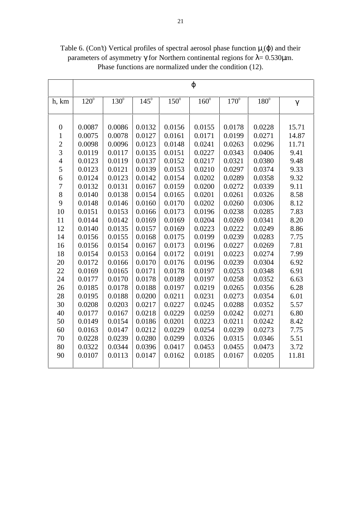|                |           |             |               |             | $\varphi$            |               |             |          |
|----------------|-----------|-------------|---------------|-------------|----------------------|---------------|-------------|----------|
| h, km          | $120^{0}$ | $130^\circ$ | $145^{\circ}$ | $150^\circ$ | $160^{\overline{0}}$ | $170^{\circ}$ | $180^\circ$ | $\gamma$ |
|                |           |             |               |             |                      |               |             |          |
| $\overline{0}$ | 0.0087    | 0.0086      | 0.0132        | 0.0156      | 0.0155               | 0.0178        | 0.0228      | 15.71    |
| $\mathbf{1}$   | 0.0075    | 0.0078      | 0.0127        | 0.0161      | 0.0171               | 0.0199        | 0.0271      | 14.87    |
| $\overline{2}$ | 0.0098    | 0.0096      | 0.0123        | 0.0148      | 0.0241               | 0.0263        | 0.0296      | 11.71    |
| $\overline{3}$ | 0.0119    | 0.0117      | 0.0135        | 0.0151      | 0.0227               | 0.0343        | 0.0406      | 9.41     |
| $\overline{4}$ | 0.0123    | 0.0119      | 0.0137        | 0.0152      | 0.0217               | 0.0321        | 0.0380      | 9.48     |
| 5              | 0.0123    | 0.0121      | 0.0139        | 0.0153      | 0.0210               | 0.0297        | 0.0374      | 9.33     |
| 6              | 0.0124    | 0.0123      | 0.0142        | 0.0154      | 0.0202               | 0.0289        | 0.0358      | 9.32     |
| $\overline{7}$ | 0.0132    | 0.0131      | 0.0167        | 0.0159      | 0.0200               | 0.0272        | 0.0339      | 9.11     |
| 8              | 0.0140    | 0.0138      | 0.0154        | 0.0165      | 0.0201               | 0.0261        | 0.0326      | 8.58     |
| 9              | 0.0148    | 0.0146      | 0.0160        | 0.0170      | 0.0202               | 0.0260        | 0.0306      | 8.12     |
| 10             | 0.0151    | 0.0153      | 0.0166        | 0.0173      | 0.0196               | 0.0238        | 0.0285      | 7.83     |
| 11             | 0.0144    | 0.0142      | 0.0169        | 0.0169      | 0.0204               | 0.0269        | 0.0341      | 8.20     |
| 12             | 0.0140    | 0.0135      | 0.0157        | 0.0169      | 0.0223               | 0.0222        | 0.0249      | 8.86     |
| 14             | 0.0156    | 0.0155      | 0.0168        | 0.0175      | 0.0199               | 0.0239        | 0.0283      | 7.75     |
| 16             | 0.0156    | 0.0154      | 0.0167        | 0.0173      | 0.0196               | 0.0227        | 0.0269      | 7.81     |
| 18             | 0.0154    | 0.0153      | 0.0164        | 0.0172      | 0.0191               | 0.0223        | 0.0274      | 7.99     |
| 20             | 0.0172    | 0.0166      | 0.0170        | 0.0176      | 0.0196               | 0.0239        | 0.0304      | 6.92     |
| 22             | 0.0169    | 0.0165      | 0.0171        | 0.0178      | 0.0197               | 0.0253        | 0.0348      | 6.91     |
| 24             | 0.0177    | 0.0170      | 0.0178        | 0.0189      | 0.0197               | 0.0258        | 0.0352      | 6.63     |
| 26             | 0.0185    | 0.0178      | 0.0188        | 0.0197      | 0.0219               | 0.0265        | 0.0356      | 6.28     |
| 28             | 0.0195    | 0.0188      | 0.0200        | 0.0211      | 0.0231               | 0.0273        | 0.0354      | 6.01     |
| 30             | 0.0208    | 0.0203      | 0.0217        | 0.0227      | 0.0245               | 0.0288        | 0.0352      | 5.57     |
| 40             | 0.0177    | 0.0167      | 0.0218        | 0.0229      | 0.0259               | 0.0242        | 0.0271      | 6.80     |
| 50             | 0.0149    | 0.0154      | 0.0186        | 0.0201      | 0.0223               | 0.0211        | 0.0242      | 8.42     |
| 60             | 0.0163    | 0.0147      | 0.0212        | 0.0229      | 0.0254               | 0.0239        | 0.0273      | 7.75     |
| 70             | 0.0228    | 0.0239      | 0.0280        | 0.0299      | 0.0326               | 0.0315        | 0.0346      | 5.51     |
| 80             | 0.0322    | 0.0344      | 0.0396        | 0.0417      | 0.0453               | 0.0455        | 0.0473      | 3.72     |
| 90             | 0.0107    | 0.0113      | 0.0147        | 0.0162      | 0.0185               | 0.0167        | 0.0205      | 11.81    |
|                |           |             |               |             |                      |               |             |          |

Table 6. (Con't) Vertical profiles of spectral aerosol phase function  $\mu_a(\varphi)$  and their parameters of asymmetry γ for Northern continental regions for  $λ = 0.530μ$ m. Phase functions are normalized under the condition (12).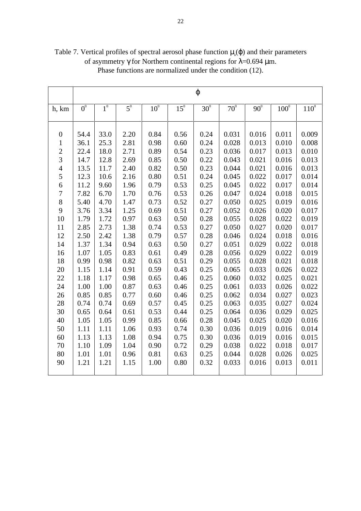|                  |                  |             |                  |              |              | $\varphi$    |              |              |             |         |
|------------------|------------------|-------------|------------------|--------------|--------------|--------------|--------------|--------------|-------------|---------|
| h, km            | $\overline{0^0}$ | $1^{\circ}$ | $\overline{5^0}$ | $10^{\circ}$ | $15^{\circ}$ | $30^{\circ}$ | $70^{\circ}$ | $90^{\circ}$ | $100^\circ$ | $110^0$ |
|                  |                  |             |                  |              |              |              |              |              |             |         |
|                  |                  |             |                  |              |              |              |              |              |             |         |
| $\boldsymbol{0}$ | 54.4             | 33.0        | 2.20             | 0.84         | 0.56         | 0.24         | 0.031        | 0.016        | 0.011       | 0.009   |
| $\mathbf{1}$     | 36.1             | 25.3        | 2.81             | 0.98         | 0.60         | 0.24         | 0.028        | 0.013        | 0.010       | 0.008   |
| $\overline{c}$   | 22.4             | 18.0        | 2.71             | 0.89         | 0.54         | 0.23         | 0.036        | 0.017        | 0.013       | 0.010   |
| $\overline{3}$   | 14.7             | 12.8        | 2.69             | 0.85         | 0.50         | 0.22         | 0.043        | 0.021        | 0.016       | 0.013   |
| $\overline{4}$   | 13.5             | 11.7        | 2.40             | 0.82         | 0.50         | 0.23         | 0.044        | 0.021        | 0.016       | 0.013   |
| 5                | 12.3             | 10.6        | 2.16             | 0.80         | 0.51         | 0.24         | 0.045        | 0.022        | 0.017       | 0.014   |
| 6                | 11.2             | 9.60        | 1.96             | 0.79         | 0.53         | 0.25         | 0.045        | 0.022        | 0.017       | 0.014   |
| $\boldsymbol{7}$ | 7.82             | 6.70        | 1.70             | 0.76         | 0.53         | 0.26         | 0.047        | 0.024        | 0.018       | 0.015   |
| 8                | 5.40             | 4.70        | 1.47             | 0.73         | 0.52         | 0.27         | 0.050        | 0.025        | 0.019       | 0.016   |
| 9                | 3.76             | 3.34        | 1.25             | 0.69         | 0.51         | 0.27         | 0.052        | 0.026        | 0.020       | 0.017   |
| 10               | 1.79             | 1.72        | 0.97             | 0.63         | 0.50         | 0.28         | 0.055        | 0.028        | 0.022       | 0.019   |
| 11               | 2.85             | 2.73        | 1.38             | 0.74         | 0.53         | 0.27         | 0.050        | 0.027        | 0.020       | 0.017   |
| 12               | 2.50             | 2.42        | 1.38             | 0.79         | 0.57         | 0.28         | 0.046        | 0.024        | 0.018       | 0.016   |
| 14               | 1.37             | 1.34        | 0.94             | 0.63         | 0.50         | 0.27         | 0.051        | 0.029        | 0.022       | 0.018   |
| 16               | 1.07             | 1.05        | 0.83             | 0.61         | 0.49         | 0.28         | 0.056        | 0.029        | 0.022       | 0.019   |
| 18               | 0.99             | 0.98        | 0.82             | 0.63         | 0.51         | 0.29         | 0.055        | 0.028        | 0.021       | 0.018   |
| 20               | 1.15             | 1.14        | 0.91             | 0.59         | 0.43         | 0.25         | 0.065        | 0.033        | 0.026       | 0.022   |
| 22               | 1.18             | 1.17        | 0.98             | 0.65         | 0.46         | 0.25         | 0.060        | 0.032        | 0.025       | 0.021   |
| 24               | 1.00             | 1.00        | 0.87             | 0.63         | 0.46         | 0.25         | 0.061        | 0.033        | 0.026       | 0.022   |
| 26               | 0.85             | 0.85        | 0.77             | 0.60         | 0.46         | 0.25         | 0.062        | 0.034        | 0.027       | 0.023   |
| 28               | 0.74             | 0.74        | 0.69             | 0.57         | 0.45         | 0.25         | 0.063        | 0.035        | 0.027       | 0.024   |
| 30               | 0.65             | 0.64        | 0.61             | 0.53         | 0.44         | 0.25         | 0.064        | 0.036        | 0.029       | 0.025   |
| 40               | 1.05             | 1.05        | 0.99             | 0.85         | 0.66         | 0.28         | 0.045        | 0.025        | 0.020       | 0.016   |
| 50               | 1.11             | 1.11        | 1.06             | 0.93         | 0.74         | 0.30         | 0.036        | 0.019        | 0.016       | 0.014   |
| 60               | 1.13             | 1.13        | 1.08             | 0.94         | 0.75         | 0.30         | 0.036        | 0.019        | 0.016       | 0.015   |
| 70               | 1.10             | 1.09        | 1.04             | 0.90         | 0.72         | 0.29         | 0.038        | 0.022        | 0.018       | 0.017   |
| 80               | 1.01             | 1.01        | 0.96             | 0.81         | 0.63         | 0.25         | 0.044        | 0.028        | 0.026       | 0.025   |
| 90               | 1.21             | 1.21        | 1.15             | 1.00         | 0.80         | 0.32         | 0.033        | 0.016        | 0.013       | 0.011   |
|                  |                  |             |                  |              |              |              |              |              |             |         |

Table 7. Vertical profiles of spectral aerosol phase function  $\mu$ <sub>a</sub> $(\varphi)$  and their parameters of asymmetry γ for Northern continental regions for  $λ=0.694 \mu m$ . Phase functions are normalized under the condition (12).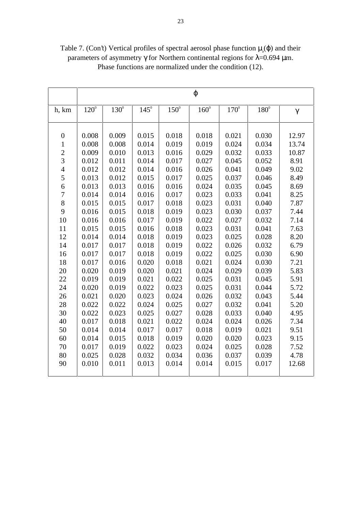|                                  |             |             |               |             | $\varphi$     |               |             |          |
|----------------------------------|-------------|-------------|---------------|-------------|---------------|---------------|-------------|----------|
| h, km                            | $120^\circ$ | $130^\circ$ | $145^{\circ}$ | $150^\circ$ | $160^{\circ}$ | $170^{\circ}$ | $180^\circ$ | $\gamma$ |
|                                  |             |             |               |             |               |               |             |          |
| $\boldsymbol{0}$                 | 0.008       | 0.009       | 0.015         | 0.018       | 0.018         | 0.021         | 0.030       | 12.97    |
| $\mathbf 1$                      | 0.008       | 0.008       | 0.014         | 0.019       | 0.019         | 0.024         | 0.034       | 13.74    |
| $\overline{c}$<br>$\overline{3}$ | 0.009       | 0.010       | 0.013         | 0.016       | 0.029         | 0.032         | 0.033       | 10.87    |
|                                  | 0.012       | 0.011       | 0.014         | 0.017       | 0.027         | 0.045         | 0.052       | 8.91     |
| $\overline{4}$                   | 0.012       | 0.012       | 0.014         | 0.016       | 0.026         | 0.041         | 0.049       | 9.02     |
| 5                                | 0.013       | 0.012       | 0.015         | 0.017       | 0.025         | 0.037         | 0.046       | 8.49     |
| 6                                | 0.013       | 0.013       | 0.016         | 0.016       | 0.024         | 0.035         | 0.045       | 8.69     |
| $\overline{7}$                   | 0.014       | 0.014       | 0.016         | 0.017       | 0.023         | 0.033         | 0.041       | 8.25     |
| 8                                | 0.015       | 0.015       | 0.017         | 0.018       | 0.023         | 0.031         | 0.040       | 7.87     |
| 9                                | 0.016       | 0.015       | 0.018         | 0.019       | 0.023         | 0.030         | 0.037       | 7.44     |
| 10                               | 0.016       | 0.016       | 0.017         | 0.019       | 0.022         | 0.027         | 0.032       | 7.14     |
| 11                               | 0.015       | 0.015       | 0.016         | 0.018       | 0.023         | 0.031         | 0.041       | 7.63     |
| 12                               | 0.014       | 0.014       | 0.018         | 0.019       | 0.023         | 0.025         | 0.028       | 8.20     |
| 14                               | 0.017       | 0.017       | 0.018         | 0.019       | 0.022         | 0.026         | 0.032       | 6.79     |
| 16                               | 0.017       | 0.017       | 0.018         | 0.019       | 0.022         | 0.025         | 0.030       | 6.90     |
| 18                               | 0.017       | 0.016       | 0.020         | 0.018       | 0.021         | 0.024         | 0.030       | 7.21     |
| 20                               | 0.020       | 0.019       | 0.020         | 0.021       | 0.024         | 0.029         | 0.039       | 5.83     |
| 22                               | 0.019       | 0.019       | 0.021         | 0.022       | 0.025         | 0.031         | 0.045       | 5.91     |
| 24                               | 0.020       | 0.019       | 0.022         | 0.023       | 0.025         | 0.031         | 0.044       | 5.72     |
| 26                               | 0.021       | 0.020       | 0.023         | 0.024       | 0.026         | 0.032         | 0.043       | 5.44     |
| 28                               | 0.022       | 0.022       | 0.024         | 0.025       | 0.027         | 0.032         | 0.041       | 5.20     |
| 30                               | 0.022       | 0.023       | 0.025         | 0.027       | 0.028         | 0.033         | 0.040       | 4.95     |
| 40                               | 0.017       | 0.018       | 0.021         | 0.022       | 0.024         | 0.024         | 0.026       | 7.34     |
| 50                               | 0.014       | 0.014       | 0.017         | 0.017       | 0.018         | 0.019         | 0.021       | 9.51     |
| 60                               | 0.014       | 0.015       | 0.018         | 0.019       | 0.020         | 0.020         | 0.023       | 9.15     |
| 70                               | 0.017       | 0.019       | 0.022         | 0.023       | 0.024         | 0.025         | 0.028       | 7.52     |
| 80                               | 0.025       | 0.028       | 0.032         | 0.034       | 0.036         | 0.037         | 0.039       | 4.78     |
| 90                               | 0.010       | 0.011       | 0.013         | 0.014       | 0.014         | 0.015         | 0.017       | 12.68    |
|                                  |             |             |               |             |               |               |             |          |

Table 7. (Con't) Vertical profiles of spectral aerosol phase function  $\mu_a(\varphi)$  and their parameters of asymmetry γ for Northern continental regions for  $λ=0.694 \mu m$ . Phase functions are normalized under the condition (12).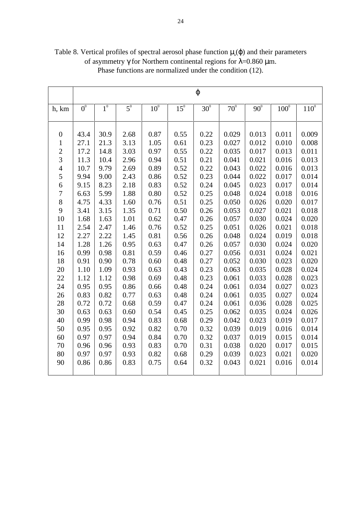|                  |             |             |                  |                 |              | $\varphi$  |              |              |             |                  |
|------------------|-------------|-------------|------------------|-----------------|--------------|------------|--------------|--------------|-------------|------------------|
| h, km            | $0^{\circ}$ | $1^{\circ}$ | $\overline{5^0}$ | 10 <sup>0</sup> | $15^{\circ}$ | $30^\circ$ | $70^{\circ}$ | $90^{\circ}$ | $100^\circ$ | 110 <sup>0</sup> |
|                  |             |             |                  |                 |              |            |              |              |             |                  |
|                  |             |             |                  |                 |              |            |              |              |             |                  |
| $\boldsymbol{0}$ | 43.4        | 30.9        | 2.68             | 0.87            | 0.55         | 0.22       | 0.029        | 0.013        | 0.011       | 0.009            |
| $\mathbf{1}$     | 27.1        | 21.3        | 3.13             | 1.05            | 0.61         | 0.23       | 0.027        | 0.012        | 0.010       | 0.008            |
| $\overline{c}$   | 17.2        | 14.8        | 3.03             | 0.97            | 0.55         | 0.22       | 0.035        | 0.017        | 0.013       | 0.011            |
| $\overline{3}$   | 11.3        | 10.4        | 2.96             | 0.94            | 0.51         | 0.21       | 0.041        | 0.021        | 0.016       | 0.013            |
| $\overline{4}$   | 10.7        | 9.79        | 2.69             | 0.89            | 0.52         | 0.22       | 0.043        | 0.022        | 0.016       | 0.013            |
| 5                | 9.94        | 9.00        | 2.43             | 0.86            | 0.52         | 0.23       | 0.044        | 0.022        | 0.017       | 0.014            |
| 6                | 9.15        | 8.23        | 2.18             | 0.83            | 0.52         | 0.24       | 0.045        | 0.023        | 0.017       | 0.014            |
| $\boldsymbol{7}$ | 6.63        | 5.99        | 1.88             | 0.80            | 0.52         | 0.25       | 0.048        | 0.024        | 0.018       | 0.016            |
| 8                | 4.75        | 4.33        | 1.60             | 0.76            | 0.51         | 0.25       | 0.050        | 0.026        | 0.020       | 0.017            |
| 9                | 3.41        | 3.15        | 1.35             | 0.71            | 0.50         | 0.26       | 0.053        | 0.027        | 0.021       | 0.018            |
| 10               | 1.68        | 1.63        | 1.01             | 0.62            | 0.47         | 0.26       | 0.057        | 0.030        | 0.024       | 0.020            |
| 11               | 2.54        | 2.47        | 1.46             | 0.76            | 0.52         | 0.25       | 0.051        | 0.026        | 0.021       | 0.018            |
| 12               | 2.27        | 2.22        | 1.45             | 0.81            | 0.56         | 0.26       | 0.048        | 0.024        | 0.019       | 0.018            |
| 14               | 1.28        | 1.26        | 0.95             | 0.63            | 0.47         | 0.26       | 0.057        | 0.030        | 0.024       | 0.020            |
| 16               | 0.99        | 0.98        | 0.81             | 0.59            | 0.46         | 0.27       | 0.056        | 0.031        | 0.024       | 0.021            |
| 18               | 0.91        | 0.90        | 0.78             | 0.60            | 0.48         | 0.27       | 0.052        | 0.030        | 0.023       | 0.020            |
| 20               | 1.10        | 1.09        | 0.93             | 0.63            | 0.43         | 0.23       | 0.063        | 0.035        | 0.028       | 0.024            |
| 22               | 1.12        | 1.12        | 0.98             | 0.69            | 0.48         | 0.23       | 0.061        | 0.033        | 0.028       | 0.023            |
| 24               | 0.95        | 0.95        | 0.86             | 0.66            | 0.48         | 0.24       | 0.061        | 0.034        | 0.027       | 0.023            |
| 26               | 0.83        | 0.82        | 0.77             | 0.63            | 0.48         | 0.24       | 0.061        | 0.035        | 0.027       | 0.024            |
| 28               | 0.72        | 0.72        | 0.68             | 0.59            | 0.47         | 0.24       | 0.061        | 0.036        | 0.028       | 0.025            |
| 30               | 0.63        | 0.63        | 0.60             | 0.54            | 0.45         | 0.25       | 0.062        | 0.035        | 0.024       | 0.026            |
| 40               | 0.99        | 0.98        | 0.94             | 0.83            | 0.68         | 0.29       | 0.042        | 0.023        | 0.019       | 0.017            |
| 50               | 0.95        | 0.95        | 0.92             | 0.82            | 0.70         | 0.32       | 0.039        | 0.019        | 0.016       | 0.014            |
| 60               | 0.97        | 0.97        | 0.94             | 0.84            | 0.70         | 0.32       | 0.037        | 0.019        | 0.015       | 0.014            |
| 70               | 0.96        | 0.96        | 0.93             | 0.83            | 0.70         | 0.31       | 0.038        | 0.020        | 0.017       | 0.015            |
| 80               | 0.97        | 0.97        | 0.93             | 0.82            | 0.68         | 0.29       | 0.039        | 0.023        | 0.021       | 0.020            |
| 90               | 0.86        | 0.86        | 0.83             | 0.75            | 0.64         | 0.32       | 0.043        | 0.021        | 0.016       | 0.014            |
|                  |             |             |                  |                 |              |            |              |              |             |                  |

Table 8. Vertical profiles of spectral aerosol phase function  $\mu$ <sub>a</sub> $(\varphi)$  and their parameters of asymmetry γ for Northern continental regions for  $λ=0.860 \text{ µm}.$ Phase functions are normalized under the condition (12).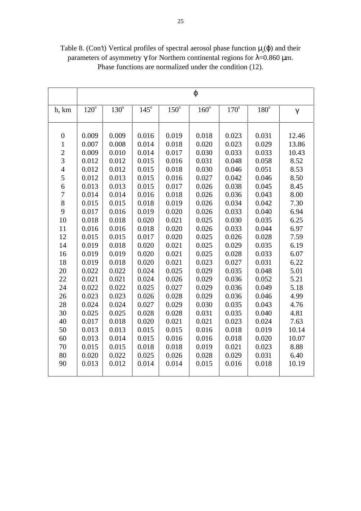|                                  | $\varphi$   |             |               |             |               |               |             |          |
|----------------------------------|-------------|-------------|---------------|-------------|---------------|---------------|-------------|----------|
| h, km                            | $120^\circ$ | $130^\circ$ | $145^{\circ}$ | $150^\circ$ | $160^{\circ}$ | $170^{\circ}$ | $180^\circ$ | $\gamma$ |
|                                  |             |             |               |             |               |               |             |          |
| $\boldsymbol{0}$                 | 0.009       | 0.009       | 0.016         | 0.019       | 0.018         | 0.023         | 0.031       | 12.46    |
| $\mathbf 1$                      | 0.007       | 0.008       | 0.014         | 0.018       | 0.020         | 0.023         | 0.029       | 13.86    |
| $\overline{c}$<br>$\overline{3}$ | 0.009       | 0.010       | 0.014         | 0.017       | 0.030         | 0.033         | 0.033       | 10.43    |
|                                  | 0.012       | 0.012       | 0.015         | 0.016       | 0.031         | 0.048         | 0.058       | 8.52     |
| $\overline{4}$                   | 0.012       | 0.012       | 0.015         | 0.018       | 0.030         | 0.046         | 0.051       | 8.53     |
| 5                                | 0.012       | 0.013       | 0.015         | 0.016       | 0.027         | 0.042         | 0.046       | 8.50     |
| 6                                | 0.013       | 0.013       | 0.015         | 0.017       | 0.026         | 0.038         | 0.045       | 8.45     |
| $\overline{7}$                   | 0.014       | 0.014       | 0.016         | 0.018       | 0.026         | 0.036         | 0.043       | 8.00     |
| 8                                | 0.015       | 0.015       | 0.018         | 0.019       | 0.026         | 0.034         | 0.042       | 7.30     |
| 9                                | 0.017       | 0.016       | 0.019         | 0.020       | 0.026         | 0.033         | 0.040       | 6.94     |
| 10                               | 0.018       | 0.018       | 0.020         | 0.021       | 0.025         | 0.030         | 0.035       | 6.25     |
| 11                               | 0.016       | 0.016       | 0.018         | 0.020       | 0.026         | 0.033         | 0.044       | 6.97     |
| 12                               | 0.015       | 0.015       | 0.017         | 0.020       | 0.025         | 0.026         | 0.028       | 7.59     |
| 14                               | 0.019       | 0.018       | 0.020         | 0.021       | 0.025         | 0.029         | 0.035       | 6.19     |
| 16                               | 0.019       | 0.019       | 0.020         | 0.021       | 0.025         | 0.028         | 0.033       | 6.07     |
| 18                               | 0.019       | 0.018       | 0.020         | 0.021       | 0.023         | 0.027         | 0.031       | 6.22     |
| 20                               | 0.022       | 0.022       | 0.024         | 0.025       | 0.029         | 0.035         | 0.048       | 5.01     |
| 22                               | 0.021       | 0.021       | 0.024         | 0.026       | 0.029         | 0.036         | 0.052       | 5.21     |
| 24                               | 0.022       | 0.022       | 0.025         | 0.027       | 0.029         | 0.036         | 0.049       | 5.18     |
| 26                               | 0.023       | 0.023       | 0.026         | 0.028       | 0.029         | 0.036         | 0.046       | 4.99     |
| 28                               | 0.024       | 0.024       | 0.027         | 0.029       | 0.030         | 0.035         | 0.043       | 4.76     |
| 30                               | 0.025       | 0.025       | 0.028         | 0.028       | 0.031         | 0.035         | 0.040       | 4.81     |
| 40                               | 0.017       | 0.018       | 0.020         | 0.021       | 0.021         | 0.023         | 0.024       | 7.63     |
| 50                               | 0.013       | 0.013       | 0.015         | 0.015       | 0.016         | 0.018         | 0.019       | 10.14    |
| 60                               | 0.013       | 0.014       | 0.015         | 0.016       | 0.016         | 0.018         | 0.020       | 10.07    |
| 70                               | 0.015       | 0.015       | 0.018         | 0.018       | 0.019         | 0.021         | 0.023       | 8.88     |
| 80                               | 0.020       | 0.022       | 0.025         | 0.026       | 0.028         | 0.029         | 0.031       | 6.40     |
| 90                               | 0.013       | 0.012       | 0.014         | 0.014       | 0.015         | 0.016         | 0.018       | 10.19    |
|                                  |             |             |               |             |               |               |             |          |

Table 8. (Con't) Vertical profiles of spectral aerosol phase function  $\mu_a(\varphi)$  and their parameters of asymmetry γ for Northern continental regions for  $λ=0.860$  μm. Phase functions are normalized under the condition (12).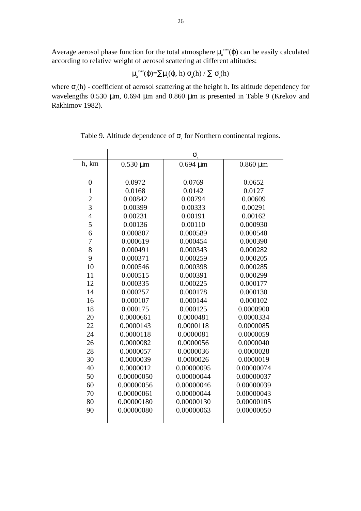Average aerosol phase function for the total atmosphere  $\mu_a^{\text{aver}}(\varphi)$  can be easily calculated according to relative weight of aerosol scattering at different altitudes:

$$
\mu_{\scriptscriptstyle a}^{\scriptscriptstyle \; \rm aver}(\phi){=}\Sigma\mu_{\scriptscriptstyle a}(\phi,\,h)\,\,\sigma_{\scriptscriptstyle a}(h)\,/\,\Sigma\,\,\sigma_{\scriptscriptstyle a}(h)
$$

where  $\sigma_a(h)$  - coefficient of aerosol scattering at the height h. Its altitude dependency for wavelengths 0.530 µm, 0.694 µm and 0.860 µm is presented in Table 9 (Krekov and Rakhimov 1982).

|                | $\sigma_{\rm a}$ |               |               |  |  |  |
|----------------|------------------|---------------|---------------|--|--|--|
| h, km          | $0.530 \mu m$    | $0.694 \mu m$ | $0.860 \mu m$ |  |  |  |
|                |                  |               |               |  |  |  |
| $\overline{0}$ | 0.0972           | 0.0769        | 0.0652        |  |  |  |
| $\mathbf{1}$   | 0.0168           | 0.0142        | 0.0127        |  |  |  |
| $\overline{c}$ | 0.00842          | 0.00794       | 0.00609       |  |  |  |
| $\overline{3}$ | 0.00399          | 0.00333       | 0.00291       |  |  |  |
| $\overline{4}$ | 0.00231          | 0.00191       | 0.00162       |  |  |  |
| 5              | 0.00136          | 0.00110       | 0.000930      |  |  |  |
| 6              | 0.000807         | 0.000589      | 0.000548      |  |  |  |
| $\overline{7}$ | 0.000619         | 0.000454      | 0.000390      |  |  |  |
| 8              | 0.000491         | 0.000343      | 0.000282      |  |  |  |
| 9              | 0.000371         | 0.000259      | 0.000205      |  |  |  |
| 10             | 0.000546         | 0.000398      | 0.000285      |  |  |  |
| 11             | 0.000515         | 0.000391      | 0.000299      |  |  |  |
| 12             | 0.000335         | 0.000225      | 0.000177      |  |  |  |
| 14             | 0.000257         | 0.000178      | 0.000130      |  |  |  |
| 16             | 0.000107         | 0.000144      | 0.000102      |  |  |  |
| 18             | 0.000175         | 0.000125      | 0.0000900     |  |  |  |
| 20             | 0.0000661        | 0.0000481     | 0.0000334     |  |  |  |
| 22             | 0.0000143        | 0.0000118     | 0.0000085     |  |  |  |
| 24             | 0.0000118        | 0.0000081     | 0.0000059     |  |  |  |
| 26             | 0.0000082        | 0.0000056     | 0.0000040     |  |  |  |
| 28             | 0.0000057        | 0.0000036     | 0.0000028     |  |  |  |
| 30             | 0.0000039        | 0.0000026     | 0.0000019     |  |  |  |
| 40             | 0.0000012        | 0.00000095    | 0.00000074    |  |  |  |
| 50             | 0.00000050       | 0.00000044    | 0.00000037    |  |  |  |
| 60             | 0.00000056       | 0.00000046    | 0.00000039    |  |  |  |
| 70             | 0.00000061       | 0.00000044    | 0.00000043    |  |  |  |
| 80             | 0.00000180       | 0.00000130    | 0.00000105    |  |  |  |
| 90             | 0.00000080       | 0.00000063    | 0.00000050    |  |  |  |
|                |                  |               |               |  |  |  |

Table 9. Altitude dependence of  $\sigma_{\alpha}$  for Northern continental regions.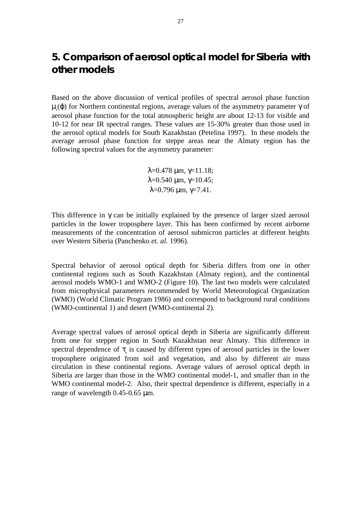## **5. Comparison of aerosol optical model for Siberia with other models**

Based on the above discussion of vertical profiles of spectral aerosol phase function  $\mu_{a}(\varphi)$  for Northern continental regions, average values of the asymmetry parameter  $\gamma$  of aerosol phase function for the total atmospheric height are about 12-13 for visible and 10-12 for near IR spectral ranges. These values are 15-30% greater than those used in the aerosol optical models for South Kazakhstan (Petelina 1997). In these models the average aerosol phase function for steppe areas near the Almaty region has the following spectral values for the asymmetry parameter:

> $\lambda = 0.478$  μm, γ=11.18;  $λ=0.540 \mu m, γ=10.45;$  $λ=0.796$  μm,  $γ=7.41$ .

This difference in  $\gamma$  can be initially explained by the presence of larger sized aerosol particles in the lower troposphere layer. This has been confirmed by recent airborne measurements of the concentration of aerosol submicron particles at different heights over Western Siberia (Panchenko *et. al.* 1996).

Spectral behavior of aerosol optical depth for Siberia differs from one in other continental regions such as South Kazakhstan (Almaty region), and the continental aerosol models WMO-1 and WMO-2 (Figure 10). The last two models were calculated from microphysical parameters recommended by World Meteorological Organization (WMO) (World Climatic Program 1986) and correspond to background rural conditions (WMO-continental 1) and desert (WMO-continental 2).

Average spectral values of aerosol optical depth in Siberia are significantly different from one for stepper region in South Kazakhstan near Almaty. This difference in spectral dependence of  $\tau_{\alpha}$  is caused by different types of aerosol particles in the lower troposphere originated from soil and vegetation, and also by different air mass circulation in these continental regions. Average values of aerosol optical depth in Siberia are larger than those in the WMO continental model-1, and smaller than in the WMO continental model-2. Also, their spectral dependence is different, especially in a range of wavelength 0.45-0.65 µm.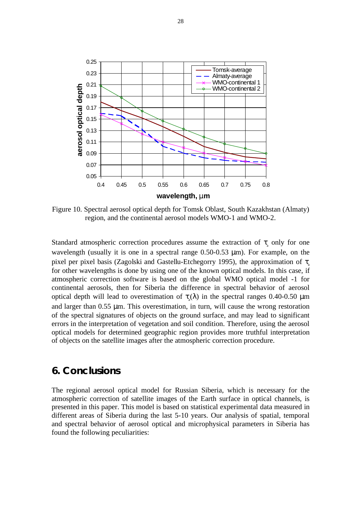

Figure 10. Spectral aerosol optical depth for Tomsk Oblast, South Kazakhstan (Almaty) region, and the continental aerosol models WMO-1 and WMO-2.

Standard atmospheric correction procedures assume the extraction of  $\tau_{a}$  only for one wavelength (usually it is one in a spectral range 0.50-0.53  $\mu$ m). For example, on the pixel per pixel basis (Zagolski and Gastellu-Etchegorry 1995), the approximation of  $\tau$ . for other wavelengths is done by using one of the known optical models. In this case, if atmospheric correction software is based on the global WMO optical model -1 for continental aerosols, then for Siberia the difference in spectral behavior of aerosol optical depth will lead to overestimation of  $\tau$ <sub>a</sub>(λ) in the spectral ranges 0.40-0.50 μm and larger than 0.55 µm. This overestimation, in turn, will cause the wrong restoration of the spectral signatures of objects on the ground surface, and may lead to significant errors in the interpretation of vegetation and soil condition. Therefore, using the aerosol optical models for determined geographic region provides more truthful interpretation of objects on the satellite images after the atmospheric correction procedure.

## **6. Conclusions**

The regional aerosol optical model for Russian Siberia, which is necessary for the atmospheric correction of satellite images of the Earth surface in optical channels, is presented in this paper. This model is based on statistical experimental data measured in different areas of Siberia during the last 5-10 years. Our analysis of spatial, temporal and spectral behavior of aerosol optical and microphysical parameters in Siberia has found the following peculiarities: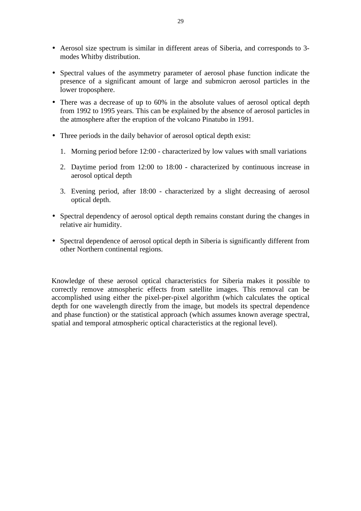- Aerosol size spectrum is similar in different areas of Siberia, and corresponds to 3 modes Whitby distribution.
- Spectral values of the asymmetry parameter of aerosol phase function indicate the presence of a significant amount of large and submicron aerosol particles in the lower troposphere.
- There was a decrease of up to 60% in the absolute values of aerosol optical depth from 1992 to 1995 years. This can be explained by the absence of aerosol particles in the atmosphere after the eruption of the volcano Pinatubo in 1991.
- Three periods in the daily behavior of aerosol optical depth exist:
	- 1. Morning period before 12:00 characterized by low values with small variations
	- 2. Daytime period from 12:00 to 18:00 characterized by continuous increase in aerosol optical depth
	- 3. Evening period, after 18:00 characterized by a slight decreasing of aerosol optical depth.
- Spectral dependency of aerosol optical depth remains constant during the changes in relative air humidity.
- Spectral dependence of aerosol optical depth in Siberia is significantly different from other Northern continental regions.

Knowledge of these aerosol optical characteristics for Siberia makes it possible to correctly remove atmospheric effects from satellite images. This removal can be accomplished using either the pixel-per-pixel algorithm (which calculates the optical depth for one wavelength directly from the image, but models its spectral dependence and phase function) or the statistical approach (which assumes known average spectral, spatial and temporal atmospheric optical characteristics at the regional level).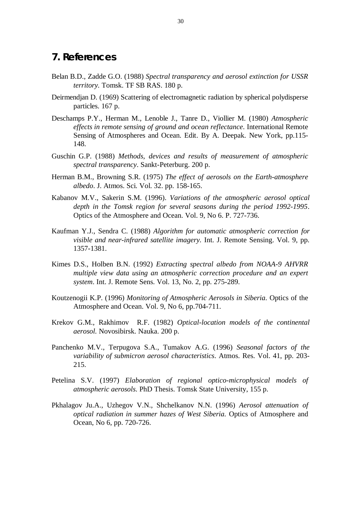### **7. References**

- Belan B.D., Zadde G.O. (1988) *Spectral transparency and aerosol extinction for USSR territory.* Tomsk. TF SB RAS. 180 p.
- Deirmendjan D. (1969) Scattering of electromagnetic radiation by spherical polydisperse particles. 167 p.
- Deschamps P.Y., Herman M., Lenoble J., Tanre D., Viollier M. (1980) *Atmospheric effects in remote sensing of ground and ocean reflectance*. International Remote Sensing of Atmospheres and Ocean. Edit. By A. Deepak. New York, pp.115- 148.
- Guschin G.P. (1988) *Methods, devices and results of measurement of atmospheric spectral transparency*. Sankt-Peterburg. 200 p.
- Herman B.M., Browning S.R. (1975) *The effect of aerosols on the Earth-atmosphere albedo*. J. Atmos. Sci. Vol. 32. pp. 158-165.
- Kabanov M.V., Sakerin S.M. (1996). *Variations of the atmospheric aerosol optical depth in the Tomsk region for several seasons during the period 1992-1995*. Optics of the Atmosphere and Ocean. Vol. 9, No 6. P. 727-736.
- Kaufman Y.J., Sendra C. (1988) *Algorithm for automatic atmospheric correction for visible and near-infrared satellite imagery.* Int. J. Remote Sensing. Vol. 9, pp. 1357-1381.
- Kimes D.S., Holben B.N. (1992) *Extracting spectral albedo from NOAA-9 AHVRR multiple view data using an atmospheric correction procedure and an expert system*. Int. J. Remote Sens. Vol. 13, No. 2, pp. 275-289.
- Koutzenogii K.P. (1996) *Monitoring of Atmospheric Aerosols in Siberia*. Optics of the Atmosphere and Ocean. Vol. 9, No 6, pp.704-711.
- Krekov G.M., Rakhimov R.F. (1982) *Optical-location models of the continental aerosol.* Novosibirsk. Nauka. 200 p.
- Panchenko M.V., Terpugova S.A., Tumakov A.G. (1996) *Seasonal factors of the variability of submicron aerosol characteristics*. Atmos. Res. Vol. 41, pp. 203- 215.
- Petelina S.V. (1997) *Elaboration of regional optico-microphysical models of atmospheric aerosols*. PhD Thesis. Tomsk State University, 155 p.
- Pkhalagov Ju.A., Uzhegov V.N., Shchelkanov N.N. (1996) *Aerosol attenuation of optical radiation in summer hazes of West Siberia.* Optics of Atmosphere and Ocean, No 6, pp. 720-726.